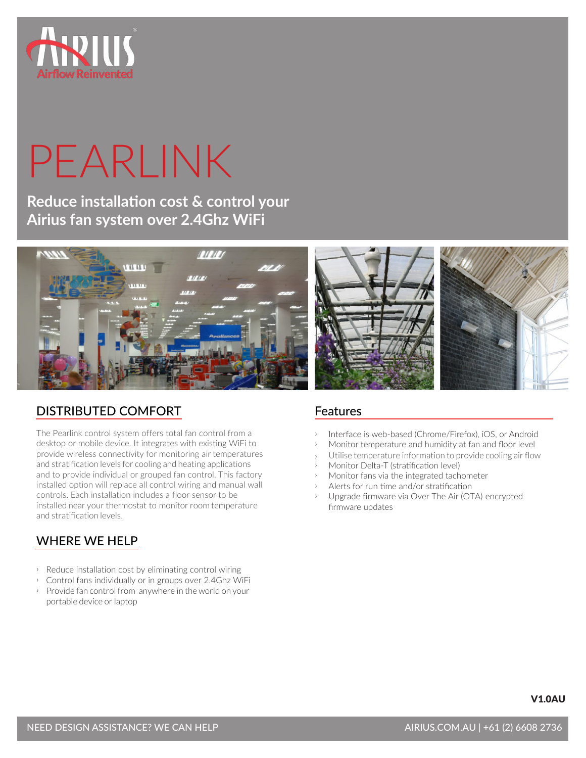

# PEARLINK

**Reduce installation cost & control your Airius fan system over 2.4Ghz WiFi** 



# DISTRIBUTED COMFORT

The Pearlink control system offers total fan control from a desktop or mobile device. It integrates with existing WiFi to provide wireless connectivity for monitoring air temperatures and stratification levels for cooling and heating applications and to provide individual or grouped fan control. This factory installed option will replace all control wiring and manual wall controls. Each installation includes a floor sensor to be installed near your thermostat to monitor room temperature and stratification levels.

# WHERE WE HELP

- $\rightarrow$  Reduce installation cost by eliminating control wiring
- ↑ Control fans individually or in groups over 2.4Ghz WiFi  $\rightarrow$  Provide fan control from anywhere in the world on your
- portable device or laptop

# Features

- Interface is web-based (Chrome/Firefox), iOS, or Android
- Monitor temperature and humidity at fan and floor level
- Utilise temperature information to provide cooling air flow
- Monitor Delta-T (stratification level)
- Monitor fans via the integrated tachometer
- ҇ Alerts for run time and/or stratification
- Upgrade firmware via Over The Air (OTA) encrypted firmware updates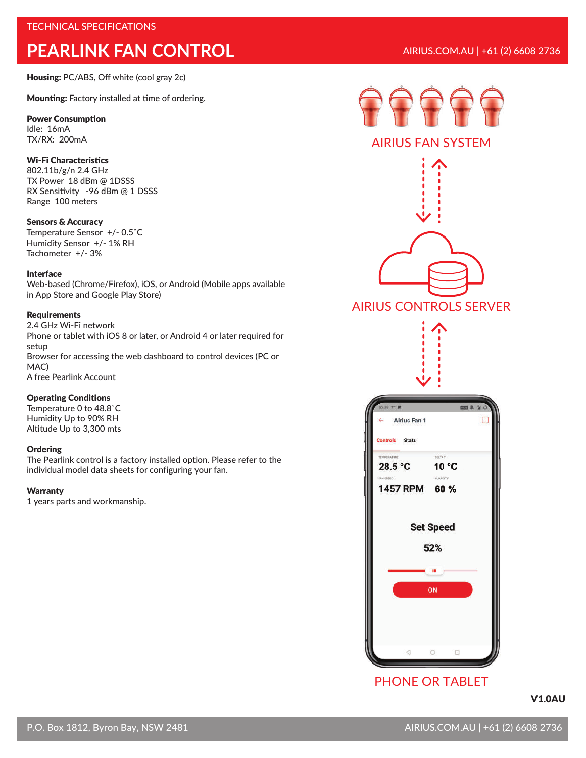Housing: PC/ABS, Off white (cool gray 2c)

Mounting: Factory installed at time of ordering.

#### Power Consumption

Idle: 16mA TX/RX: 200mA

## Wi-Fi Characteristics

802.11b/g/n 2.4 GHz TX Power 18 dBm @ 1DSSS RX Sensitivity -96 dBm @ 1 DSSS Range 100 meters

#### Sensors & Accuracy

Temperature Sensor +/- 0.5˚C Humidity Sensor +/- 1% RH Tachometer +/- 3%

### Interface

Web-based (Chrome/Firefox), iOS, or Android (Mobile apps available in App Store and Google Play Store)

#### Requirements

2.4 GHz Wi-Fi network Phone or tablet with iOS 8 or later, or Android 4 or later required for setup Browser for accessing the web dashboard to control devices (PC or MAC) A free Pearlink Account

#### Operating Conditions

Temperature 0 to 48.8˚C Humidity Up to 90% RH Altitude Up to 3,300 mts

#### **Ordering**

The Pearlink control is a factory installed option. Please refer to the individual model data sheets for configuring your fan.

#### **Warranty**

1 years parts and workmanship.





# AIRIUS FAN SYSTEM



# PHONE OR TABLET

V1.0AU